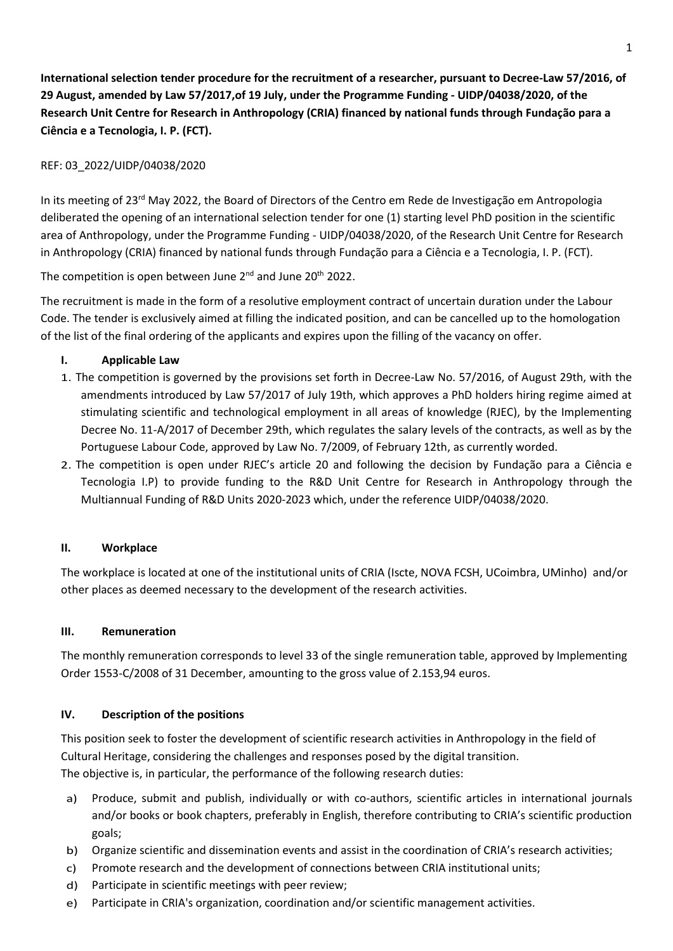**International selection tender procedure for the recruitment of a researcher, pursuant to Decree-Law 57/2016, of 29 August, amended by Law 57/2017,of 19 July, under the Programme Funding - UIDP/04038/2020, of the Research Unit Centre for Research in Anthropology (CRIA) financed by national funds through Fundação para a Ciência e a Tecnologia, I. P. (FCT).**

# REF: 03\_2022/UIDP/04038/2020

In its meeting of 23<sup>rd</sup> May 2022, the Board of Directors of the Centro em Rede de Investigação em Antropologia deliberated the opening of an international selection tender for one (1) starting level PhD position in the scientific area of Anthropology, under the Programme Funding - UIDP/04038/2020, of the Research Unit Centre for Research in Anthropology (CRIA) financed by national funds through Fundação para a Ciência e a Tecnologia, I. P. (FCT).

The competition is open between June 2<sup>nd</sup> and June 20<sup>th</sup> 2022.

The recruitment is made in the form of a resolutive employment contract of uncertain duration under the Labour Code. The tender is exclusively aimed at filling the indicated position, and can be cancelled up to the homologation of the list of the final ordering of the applicants and expires upon the filling of the vacancy on offer.

### **I. Applicable Law**

- 1. The competition is governed by the provisions set forth in Decree-Law No. 57/2016, of August 29th, with the amendments introduced by Law 57/2017 of July 19th, which approves a PhD holders hiring regime aimed at stimulating scientific and technological employment in all areas of knowledge (RJEC), by the Implementing Decree No. 11-A/2017 of December 29th, which regulates the salary levels of the contracts, as well as by the Portuguese Labour Code, approved by Law No. 7/2009, of February 12th, as currently worded.
- 2. The competition is open under RJEC's article 20 and following the decision by Fundação para a Ciência e Tecnologia I.P) to provide funding to the R&D Unit Centre for Research in Anthropology through the Multiannual Funding of R&D Units 2020-2023 which, under the reference UIDP/04038/2020.

#### **II. Workplace**

The workplace is located at one of the institutional units of CRIA (Iscte, NOVA FCSH, UCoimbra, UMinho) and/or other places as deemed necessary to the development of the research activities.

#### **III. Remuneration**

The monthly remuneration corresponds to level 33 of the single remuneration table, approved by Implementing Order 1553-C/2008 of 31 December, amounting to the gross value of 2.153,94 euros.

#### **IV. Description of the positions**

This position seek to foster the development of scientific research activities in Anthropology in the field of Cultural Heritage, considering the challenges and responses posed by the digital transition. The objective is, in particular, the performance of the following research duties:

- a) Produce, submit and publish, individually or with co-authors, scientific articles in international journals and/or books or book chapters, preferably in English, therefore contributing to CRIA's scientific production goals;
- b) Organize scientific and dissemination events and assist in the coordination of CRIA's research activities;
- c) Promote research and the development of connections between CRIA institutional units;
- d) Participate in scientific meetings with peer review;
- e) Participate in CRIA's organization, coordination and/or scientific management activities.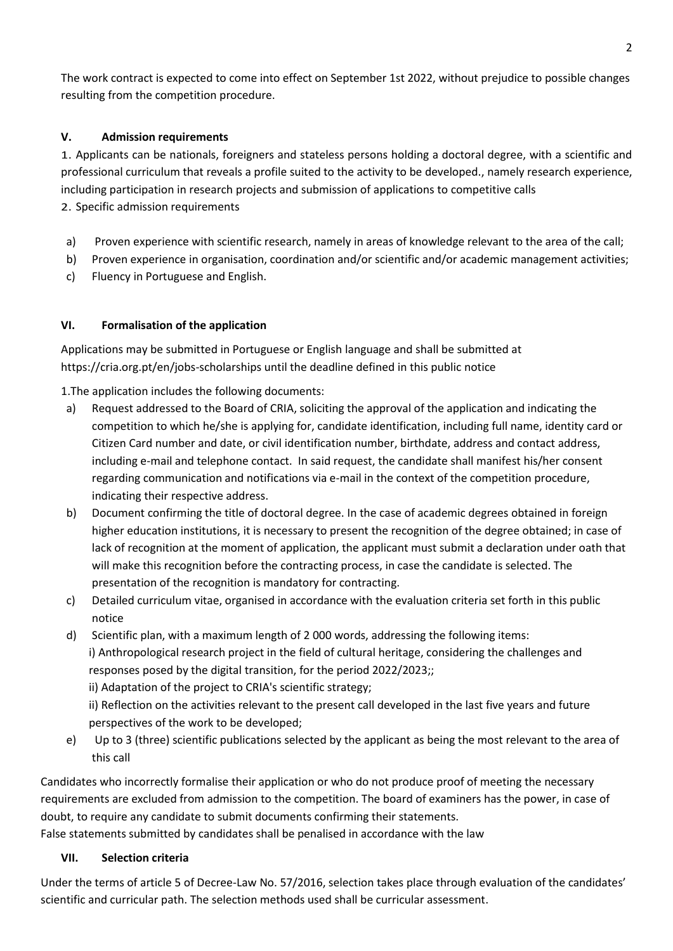The work contract is expected to come into effect on September 1st 2022, without prejudice to possible changes resulting from the competition procedure.

## **V. Admission requirements**

1. Applicants can be nationals, foreigners and stateless persons holding a doctoral degree, with a scientific and professional curriculum that reveals a profile suited to the activity to be developed., namely research experience, including participation in research projects and submission of applications to competitive calls 2. Specific admission requirements

- a) Proven experience with scientific research, namely in areas of knowledge relevant to the area of the call;
- b) Proven experience in organisation, coordination and/or scientific and/or academic management activities;
- c) Fluency in Portuguese and English.

### **VI. Formalisation of the application**

Applications may be submitted in Portuguese or English language and shall be submitted at https://cria.org.pt/en/jobs-scholarships until the deadline defined in this public notice

1.The application includes the following documents:

- a) Request addressed to the Board of CRIA, soliciting the approval of the application and indicating the competition to which he/she is applying for, candidate identification, including full name, identity card or Citizen Card number and date, or civil identification number, birthdate, address and contact address, including e-mail and telephone contact. In said request, the candidate shall manifest his/her consent regarding communication and notifications via e-mail in the context of the competition procedure, indicating their respective address.
- b) Document confirming the title of doctoral degree. In the case of academic degrees obtained in foreign higher education institutions, it is necessary to present the recognition of the degree obtained; in case of lack of recognition at the moment of application, the applicant must submit a declaration under oath that will make this recognition before the contracting process, in case the candidate is selected. The presentation of the recognition is mandatory for contracting.
- c) Detailed curriculum vitae, organised in accordance with the evaluation criteria set forth in this public notice
- d) Scientific plan, with a maximum length of 2 000 words, addressing the following items: i) Anthropological research project in the field of cultural heritage, considering the challenges and responses posed by the digital transition, for the period 2022/2023;;

ii) Adaptation of the project to CRIA's scientific strategy;

ii) Reflection on the activities relevant to the present call developed in the last five years and future perspectives of the work to be developed;

e) Up to 3 (three) scientific publications selected by the applicant as being the most relevant to the area of this call

Candidates who incorrectly formalise their application or who do not produce proof of meeting the necessary requirements are excluded from admission to the competition. The board of examiners has the power, in case of doubt, to require any candidate to submit documents confirming their statements.

False statements submitted by candidates shall be penalised in accordance with the law

### **VII. Selection criteria**

Under the terms of article 5 of Decree-Law No. 57/2016, selection takes place through evaluation of the candidates' scientific and curricular path. The selection methods used shall be curricular assessment.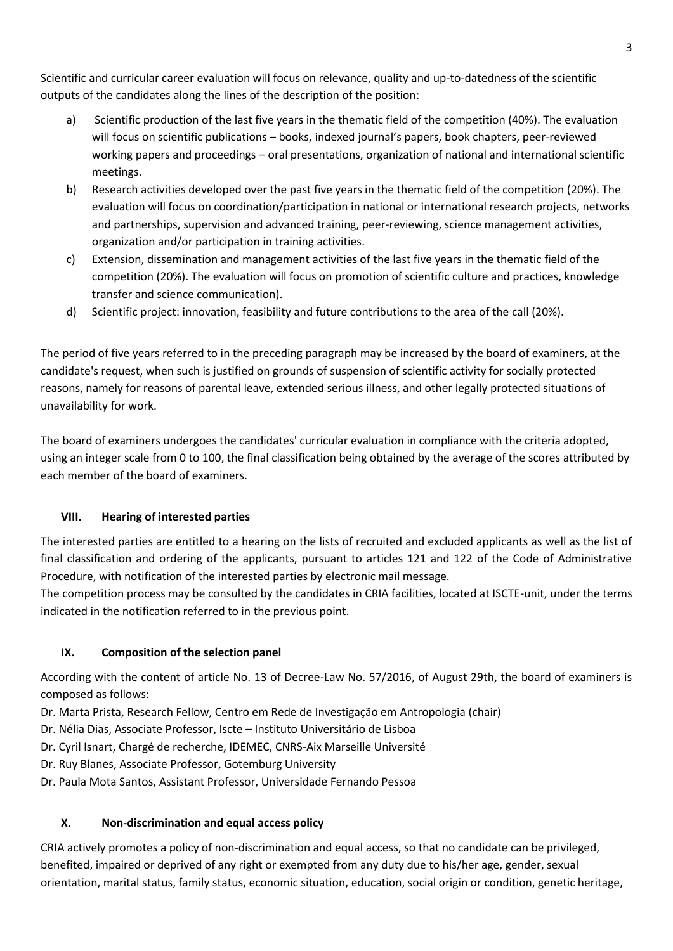Scientific and curricular career evaluation will focus on relevance, quality and up-to-datedness of the scientific outputs of the candidates along the lines of the description of the position:

- a) Scientific production of the last five years in the thematic field of the competition (40%). The evaluation will focus on scientific publications – books, indexed journal's papers, book chapters, peer-reviewed working papers and proceedings – oral presentations, organization of national and international scientific meetings.
- b) Research activities developed over the past five years in the thematic field of the competition (20%). The evaluation will focus on coordination/participation in national or international research projects, networks and partnerships, supervision and advanced training, peer-reviewing, science management activities, organization and/or participation in training activities.
- c) Extension, dissemination and management activities of the last five years in the thematic field of the competition (20%). The evaluation will focus on promotion of scientific culture and practices, knowledge transfer and science communication).
- d) Scientific project: innovation, feasibility and future contributions to the area of the call (20%).

The period of five years referred to in the preceding paragraph may be increased by the board of examiners, at the candidate's request, when such is justified on grounds of suspension of scientific activity for socially protected reasons, namely for reasons of parental leave, extended serious illness, and other legally protected situations of unavailability for work.

The board of examiners undergoes the candidates' curricular evaluation in compliance with the criteria adopted, using an integer scale from 0 to 100, the final classification being obtained by the average of the scores attributed by each member of the board of examiners.

# **VIII. Hearing of interested parties**

The interested parties are entitled to a hearing on the lists of recruited and excluded applicants as well as the list of final classification and ordering of the applicants, pursuant to articles 121 and 122 of the Code of Administrative Procedure, with notification of the interested parties by electronic mail message.

The competition process may be consulted by the candidates in CRIA facilities, located at ISCTE-unit, under the terms indicated in the notification referred to in the previous point.

# **IX. Composition of the selection panel**

According with the content of article No. 13 of Decree-Law No. 57/2016, of August 29th, the board of examiners is composed as follows:

Dr. Marta Prista, Research Fellow, Centro em Rede de Investigação em Antropologia (chair)

- Dr. Nélia Dias, Associate Professor, Iscte Instituto Universitário de Lisboa
- Dr. Cyril Isnart, Chargé de recherche, IDEMEC, CNRS-Aix Marseille Université
- Dr. Ruy Blanes, Associate Professor, Gotemburg University
- Dr. Paula Mota Santos, Assistant Professor, Universidade Fernando Pessoa

# **X. Non-discrimination and equal access policy**

CRIA actively promotes a policy of non-discrimination and equal access, so that no candidate can be privileged, benefited, impaired or deprived of any right or exempted from any duty due to his/her age, gender, sexual orientation, marital status, family status, economic situation, education, social origin or condition, genetic heritage,